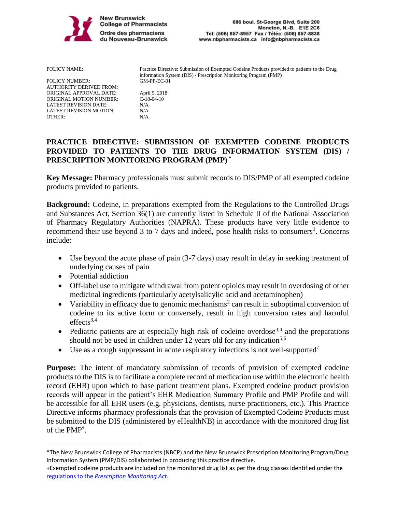

| POLICY NAME:            | Practice Directive: Submission of Exempted Codeine Products provided to patients to the Drug<br>information System (DIS) / Prescription Monitoring Program (PMP) |
|-------------------------|------------------------------------------------------------------------------------------------------------------------------------------------------------------|
| <b>POLICY NUMBER:</b>   | $GM-PP-EC-01$                                                                                                                                                    |
| AUTHORITY DERIVED FROM: |                                                                                                                                                                  |
| ORIGINAL APPROVAL DATE: | April 9, 2018                                                                                                                                                    |
| ORIGINAL MOTION NUMBER: | $C-18-04-10$                                                                                                                                                     |
| LATEST REVISION DATE:   | N/A                                                                                                                                                              |
| LATEST REVISION MOTION: | N/A                                                                                                                                                              |
| OTHER:                  | N/A                                                                                                                                                              |
|                         |                                                                                                                                                                  |

# **PRACTICE DIRECTIVE: SUBMISSION OF EXEMPTED CODEINE PRODUCTS PROVIDED TO PATIENTS TO THE DRUG INFORMATION SYSTEM (DIS) / PRESCRIPTION MONITORING PROGRAM (PMP) \***

**Key Message:** Pharmacy professionals must submit records to DIS/PMP of all exempted codeine products provided to patients.

**Background:** Codeine, in preparations exempted from the Regulations to the Controlled Drugs and Substances Act, Section 36(1) are currently listed in Schedule II of the National Association of Pharmacy Regulatory Authorities (NAPRA). These products have very little evidence to recommend their use beyond 3 to 7 days and indeed, pose health risks to consumers<sup>1</sup>. Concerns include:

- Use beyond the acute phase of pain (3-7 days) may result in delay in seeking treatment of underlying causes of pain
- Potential addiction
- Off-label use to mitigate withdrawal from potent opioids may result in overdosing of other medicinal ingredients (particularly acetylsalicylic acid and acetaminophen)
- Variability in efficacy due to genomic mechanisms<sup>2</sup> can result in suboptimal conversion of codeine to its active form or conversely, result in high conversion rates and harmful  $effects<sup>3,4</sup>$
- Pediatric patients are at especially high risk of codeine overdose<sup>3,4</sup> and the preparations should not be used in children under 12 years old for any indication<sup>5,6</sup>
- Use as a cough suppressant in acute respiratory infections is not well-supported<sup>7</sup>

**Purpose:** The intent of mandatory submission of records of provision of exempted codeine products to the DIS is to facilitate a complete record of medication use within the electronic health record (EHR) upon which to base patient treatment plans. Exempted codeine product provision records will appear in the patient's EHR Medication Summary Profile and PMP Profile and will be accessible for all EHR users (e.g. physicians, dentists, nurse practitioners, etc.). This Practice Directive informs pharmacy professionals that the provision of Exempted Codeine Products must be submitted to the DIS (administered by eHealthNB) in accordance with the monitored drug list of the PMP† .

<sup>\*</sup>The New Brunswick College of Pharmacists (NBCP) and the New Brunswick Prescription Monitoring Program/Drug Information System (PMP/DIS) collaborated in producing this practice directive.

<sup>+</sup>Exempted codeine products are included on the monitored drug list as per the drug classes identified under the regulations to the *[Prescription Monitoring Act](https://www.canlii.org/en/nb/laws/regu/nb-reg-2014-142/latest/nb-reg-2014-142.html)*.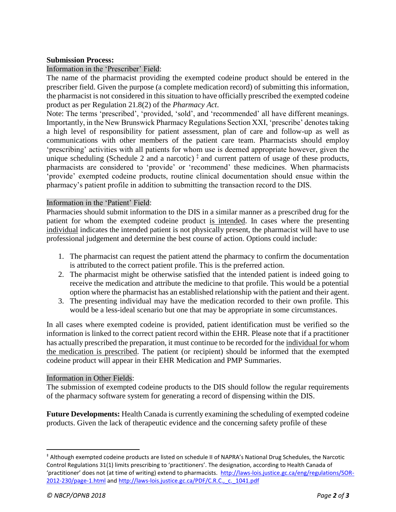#### **Submission Process:**

### Information in the 'Prescriber' Field:

The name of the pharmacist providing the exempted codeine product should be entered in the prescriber field. Given the purpose (a complete medication record) of submitting this information, the pharmacist is not considered in this situation to have officially prescribed the exempted codeine product as per Regulation 21.8(2) of the *Pharmacy Act*.

Note: The terms 'prescribed', 'provided, 'sold', and 'recommended' all have different meanings. Importantly, in the New Brunswick Pharmacy Regulations Section XXI, 'prescribe' denotes taking a high level of responsibility for patient assessment, plan of care and follow-up as well as communications with other members of the patient care team. Pharmacists should employ 'prescribing' activities with all patients for whom use is deemed appropriate however, given the unique scheduling (Schedule 2 and a narcotic)<sup> $\ddagger$ </sup> and current pattern of usage of these products, pharmacists are considered to 'provide' or 'recommend' these medicines. When pharmacists 'provide' exempted codeine products, routine clinical documentation should ensue within the pharmacy's patient profile in addition to submitting the transaction record to the DIS.

#### Information in the 'Patient' Field:

Pharmacies should submit information to the DIS in a similar manner as a prescribed drug for the patient for whom the exempted codeine product is intended. In cases where the presenting individual indicates the intended patient is not physically present, the pharmacist will have to use professional judgement and determine the best course of action. Options could include:

- 1. The pharmacist can request the patient attend the pharmacy to confirm the documentation is attributed to the correct patient profile. This is the preferred action.
- 2. The pharmacist might be otherwise satisfied that the intended patient is indeed going to receive the medication and attribute the medicine to that profile. This would be a potential option where the pharmacist has an established relationship with the patient and their agent.
- 3. The presenting individual may have the medication recorded to their own profile. This would be a less-ideal scenario but one that may be appropriate in some circumstances.

In all cases where exempted codeine is provided, patient identification must be verified so the information is linked to the correct patient record within the EHR. Please note that if a practitioner has actually prescribed the preparation, it must continue to be recorded for the individual for whom the medication is prescribed. The patient (or recipient) should be informed that the exempted codeine product will appear in their EHR Medication and PMP Summaries.

#### Information in Other Fields:

The submission of exempted codeine products to the DIS should follow the regular requirements of the pharmacy software system for generating a record of dispensing within the DIS.

**Future Developments:** Health Canada is currently examining the scheduling of exempted codeine products. Given the lack of therapeutic evidence and the concerning safety profile of these

<sup>‡</sup> Although exempted codeine products are listed on schedule II of NAPRA's National Drug Schedules, the Narcotic Control Regulations 31(1) limits prescribing to 'practitioners'. The designation, according to Health Canada of 'practitioner' does not (at time of writing) extend to pharmacists. [http://laws-lois.justice.gc.ca/eng/regulations/SOR-](http://laws-lois.justice.gc.ca/eng/regulations/SOR-2012-230/page-1.html)[2012-230/page-1.html](http://laws-lois.justice.gc.ca/eng/regulations/SOR-2012-230/page-1.html) an[d http://laws-lois.justice.gc.ca/PDF/C.R.C.,\\_c.\\_1041.pdf](http://laws-lois.justice.gc.ca/PDF/C.R.C.,_c._1041.pdf)